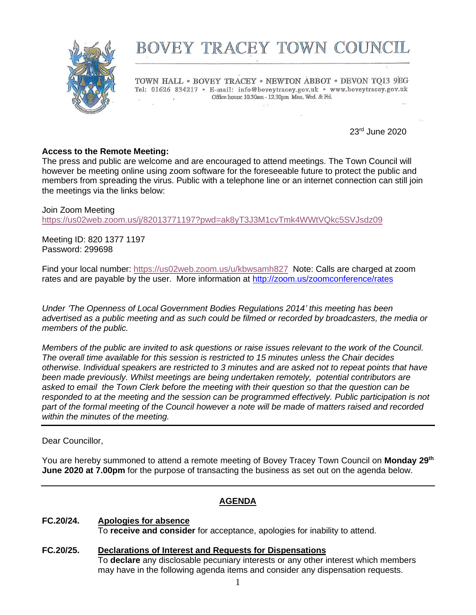

# BOVEY TRACEY TOWN COUNCIL

TOWN HALL . BOVEY TRACEY . NEWTON ABBOT . DEVON TQ13 9EG Tel: 01626 834217 · E-mail: info@boveytracey.gov.uk · www.boveytracey.gov.uk Office hours: 10.30am - 12.30pm Mon. Wed. & Fri.  $\mathcal{L}$ 

23rd June 2020

#### **Access to the Remote Meeting:**

The press and public are welcome and are encouraged to attend meetings. The Town Council will however be meeting online using zoom software for the foreseeable future to protect the public and members from spreading the virus. Public with a telephone line or an internet connection can still join the meetings via the links below:

Join Zoom Meeting <https://us02web.zoom.us/j/82013771197?pwd=ak8yT3J3M1cvTmk4WWtVQkc5SVJsdz09>

Meeting ID: 820 1377 1197 Password: 299698

Find your local number:<https://us02web.zoom.us/u/kbwsamh827>Note: Calls are charged at zoom rates and are payable by the user. More information at<http://zoom.us/zoomconference/rates>

*Under 'The Openness of Local Government Bodies Regulations 2014' this meeting has been advertised as a public meeting and as such could be filmed or recorded by broadcasters, the media or members of the public.*

*Members of the public are invited to ask questions or raise issues relevant to the work of the Council. The overall time available for this session is restricted to 15 minutes unless the Chair decides otherwise. Individual speakers are restricted to 3 minutes and are asked not to repeat points that have been made previously. Whilst meetings are being undertaken remotely, potential contributors are asked to email the Town Clerk before the meeting with their question so that the question can be responded to at the meeting and the session can be programmed effectively. Public participation is not part of the formal meeting of the Council however a note will be made of matters raised and recorded within the minutes of the meeting.*

Dear Councillor,

You are hereby summoned to attend a remote meeting of Bovey Tracey Town Council on **Monday 29th June 2020 at 7.00pm** for the purpose of transacting the business as set out on the agenda below.

#### **AGENDA**

# **FC.20/24. Apologies for absence**

To **receive and consider** for acceptance, apologies for inability to attend.

**FC***.***20/25. Declarations of Interest and Requests for Dispensations** To **declare** any disclosable pecuniary interests or any other interest which members may have in the following agenda items and consider any dispensation requests.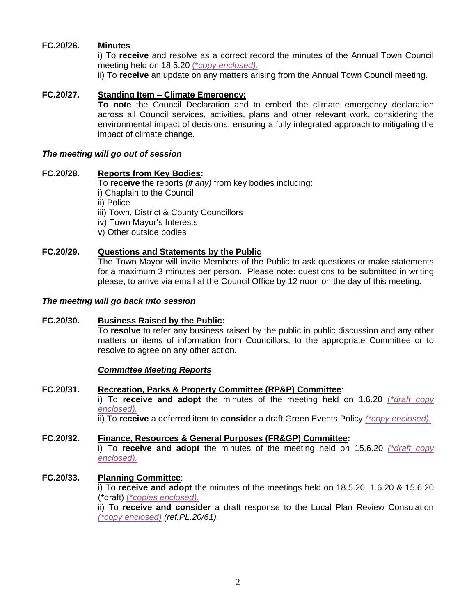# **FC.20/26. Minutes**

i) To **receive** and resolve as a correct record the minutes of the Annual Town Council meeting held on 18.5.20 (\**[copy enclosed\).](https://www.dropbox.com/s/goirhlsse8gl6u3/29.06.20%20-%20Annual%20Meeting%20Mins%20-%2018.05.20.pdf?dl=0)*

ii) To **receive** an update on any matters arising from the Annual Town Council meeting.

# **FC.20/27. Standing Item – Climate Emergency:**

**To note** the Council Declaration and to embed the climate emergency declaration across all Council services, activities, plans and other relevant work, considering the environmental impact of decisions, ensuring a fully integrated approach to mitigating the impact of climate change.

#### *The meeting will go out of session*

#### **FC.20/28. Reports from Key Bodies:**

To **receive** the reports *(if any)* from key bodies including: i) Chaplain to the Council ii) Police iii) Town, District & County Councillors iv) Town Mayor's Interests v) Other outside bodies

# **FC.20/29. Questions and Statements by the Public**

The Town Mayor will invite Members of the Public to ask questions or make statements for a maximum 3 minutes per person. Please note: questions to be submitted in writing please, to arrive via email at the Council Office by 12 noon on the day of this meeting.

#### *The meeting will go back into session*

# **FC.20/30. Business Raised by the Public:**

To **resolve** to refer any business raised by the public in public discussion and any other matters or items of information from Councillors, to the appropriate Committee or to resolve to agree on any other action.

#### *Committee Meeting Reports*

#### **FC.20/31. Recreation, Parks & Property Committee (RP&P) Committee**:

i) To **receive and adopt** the minutes of the meeting held on 1.6.20 (*[\\*draft copy](https://www.dropbox.com/s/8topgmezowxc0hn/29.06.20%20-%20RP%26P%20Mins%20-%2001.06.20.pdf?dl=0) [enclosed\).](https://www.dropbox.com/s/8topgmezowxc0hn/29.06.20%20-%20RP%26P%20Mins%20-%2001.06.20.pdf?dl=0)*

ii) To **receive** a deferred item to **consider** a draft Green Events Policy *[\(\\*copy enclosed\).](https://www.dropbox.com/s/mu83nlqq2tunytd/29.06.20%20-%20Environmental%20Requirements%20for%20Events%20in%20the%20Parish%20-%20Green%20Events%20Policy%20DRAFT%20%282%29.docx?dl=0)*

#### **FC.20/32. Finance, Resources & General Purposes (FR&GP) Committee:** i) To **receive and adopt** the minutes of the meeting held on 15.6.20 *[\(\\*draft copy](https://www.dropbox.com/s/mpdzqr1hg9zfdle/29.06.20%20-%20FR%26GP%20Mins%20-%2015.06.20.pdf?dl=0) [enclosed\).](https://www.dropbox.com/s/mpdzqr1hg9zfdle/29.06.20%20-%20FR%26GP%20Mins%20-%2015.06.20.pdf?dl=0)*

# **FC.20/33. Planning Committee**:

i) To **receive and adopt** the minutes of the meetings held on 18.5.20, 1.6.20 & 15.6.20 (\*draft) (\**copies [enclosed\).](https://www.dropbox.com/s/32s636olczy2uui/29.06.20%20-%20Planning%20Mtg%20Mins%20x%203.pdf?dl=0)*

ii) To **receive and consider** a draft response to the Local Plan Review Consulation *[\(\\*copy enclosed\)](https://www.dropbox.com/s/448wea0rfk22seo/29.06.20%20-%20DRAFT%20Local%20PLan%20review%20response.docx?dl=0) (ref.PL.20/61).*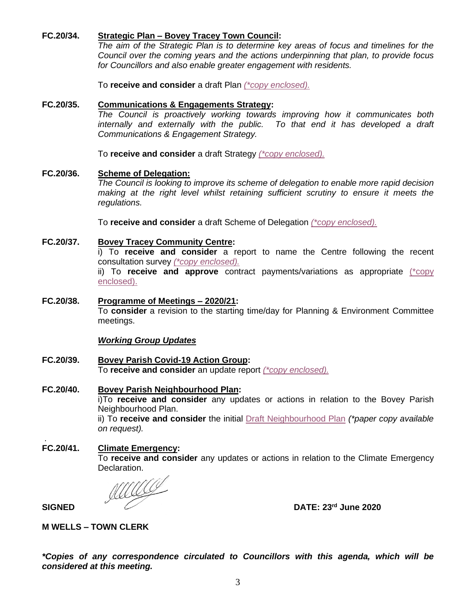# **FC.20/34. Strategic Plan – Bovey Tracey Town Council:**

*The aim of the Strategic Plan is to determine key areas of focus and timelines for the Council over the coming years and the actions underpinning that plan, to provide focus for Councillors and also enable greater engagement with residents.*

To **receive and consider** a draft Plan *[\(\\*copy enclosed\).](https://www.dropbox.com/s/x8rf6htwvibj54h/29.06.20%20Strategic%20Plan%20V10%20with%20MW%27S%20EDITS.docx?dl=0)*

#### **FC.20/35. Communications & Engagements Strategy:**

*The Council is proactively working towards improving how it communicates both internally and externally with the public. To that end it has developed a draft Communications & Engagement Strategy.*

To **receive and consider** a draft Strategy *[\(\\*copy enclosed\).](https://www.dropbox.com/s/3v7fvdh4t5rxrwa/29.06.20%20-%20Communication-and-Engagement-Strategy%20-%20Bovey%20Tracey%20TC.doc?dl=0)*

#### **FC.20/36. Scheme of Delegation:**

*The Council is looking to improve its scheme of delegation to enable more rapid decision making at the right level whilst retaining sufficient scrutiny to ensure it meets the regulations.*

To **receive and consider** a draft Scheme of Delegation *[\(\\*copy enclosed\).](https://www.dropbox.com/s/zz5p244y681rpt2/29.06.20%20Scheme%20of%20Delegation.docx?dl=0)*

#### **FC.20/37. Bovey Tracey Community Centre:**

i) To **receive and consider** a report to name the Centre following the recent consultation survey *[\(\\*copy enclosed\).](https://www.dropbox.com/s/bcysb5xtsl0m54r/29.06.20%20F%20Council%20Report%20-%20Naming%20of%20Community%20Centre%20Final%20Version.docx?dl=0)*

ii) To **receive and approve** contract payments/variations as appropriate [\(\\*copy](https://www.dropbox.com/s/7nat24nt46mx165/29.06.20%20-%20Bovey%20Tracey%20CC%20-%20Meeting%207%2003-06-2020.pdf?dl=0)  [enclosed\).](https://www.dropbox.com/s/7nat24nt46mx165/29.06.20%20-%20Bovey%20Tracey%20CC%20-%20Meeting%207%2003-06-2020.pdf?dl=0)

# **FC.20/38. Programme of Meetings – 2020/21:**

To **consider** a revision to the starting time/day for Planning & Environment Committee meetings.

#### *Working Group Updates*

**FC.20/39. Bovey Parish Covid-19 Action Group:** To **receive and consider** an update report *[\(\\*copy enclosed\).](https://www.dropbox.com/s/8hiw0l4b2uffpis/29.06.20%20-%20Covid%20Report%20Full%20Council.docx?dl=0)*

#### **FC.20/40. Bovey Parish Neighbourhood Plan:** i)To **receive and consider** any updates or actions in relation to the Bovey Parish Neighbourhood Plan. ii) To **receive and consider** the initial [Draft Neighbourhood Plan](https://www.dropbox.com/s/rn9msf083x7t34d/29.06.20%20-%20DRAFT%20NDP%20For%20Members%20to%20Consider.docx?dl=0) *(\*paper copy available on request).*

# **FC.20/41. Climate Emergency:**

To **receive and consider** any updates or actions in relation to the Climate Emergency Declaration.

**SIGNED DATE:** 23<sup>rd</sup> June 2020

.

#### **M WELLS – TOWN CLERK**

*\*Copies of any correspondence circulated to Councillors with this agenda, which will be considered at this meeting.*